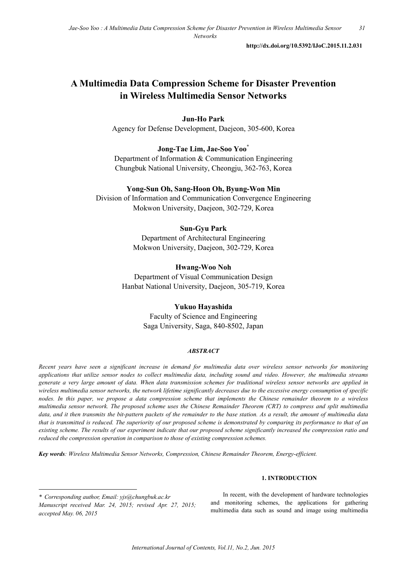**http://dx.doi.org/10.5392/IJoC.2015.11.2.031**

# **A Multimedia Data Compression Scheme for Disaster Prevention in Wireless Multimedia Sensor Networks**

# **Jun-Ho Park**

Agency for Defense Development, Daejeon, 305-600, Korea

# **Jong-Tae Lim, Jae-Soo Yoo\***

Department of Information & Communication Engineering Chungbuk National University, Cheongju, 362-763, Korea

# **Yong-Sun Oh, Sang-Hoon Oh, Byung-Won Min**

Division of Information and Communication Convergence Engineering Mokwon University, Daejeon, 302-729, Korea

# **Sun-Gyu Park**

Department of Architectural Engineering Mokwon University, Daejeon, 302-729, Korea

### **Hwang-Woo Noh**

Department of Visual Communication Design Hanbat National University, Daejeon, 305-719, Korea

# **Yukuo Hayashida**

Faculty of Science and Engineering Saga University, Saga, 840-8502, Japan

### *ABSTRACT*

*Recent years have seen a significant increase in demand for multimedia data over wireless sensor networks for monitoring applications that utilize sensor nodes to collect multimedia data, including sound and video. However, the multimedia streams generate a very large amount of data. When data transmission schemes for traditional wireless sensor networks are applied in wireless multimedia sensor networks, the network lifetime significantly decreases due to the excessive energy consumption of specific nodes. In this paper, we propose a data compression scheme that implements the Chinese remainder theorem to a wireless multimedia sensor network. The proposed scheme uses the Chinese Remainder Theorem (CRT) to compress and split multimedia data, and it then transmits the bit-pattern packets of the remainder to the base station. As a result, the amount of multimedia data that is transmitted is reduced. The superiority of our proposed scheme is demonstrated by comparing its performance to that of an existing scheme. The results of our experiment indicate that our proposed scheme significantly increased the compression ratio and reduced the compression operation in comparison to those of existing compression schemes.* 

*Key words: Wireless Multimedia Sensor Networks, Compression, Chinese Remainder Theorem, Energy-efficient.*

### **1. INTRODUCTION**

-

In recent, with the development of hardware technologies and monitoring schemes, the applications for gathering multimedia data such as sound and image using multimedia

*<sup>\*</sup> Corresponding author, Email: yjs@chungbuk.ac.kr Manuscript received Mar. 24, 2015; revised Apr. 27, 2015; accepted May. 06, 2015*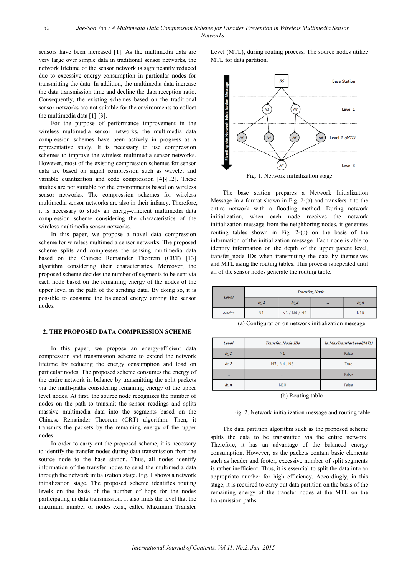sensors have been increased [1]. As the multimedia data are very large over simple data in traditional sensor networks, the network lifetime of the sensor network is significantly reduced due to excessive energy consumption in particular nodes for transmitting the data. In addition, the multimedia data increase the data transmission time and decline the data reception ratio. Consequently, the existing schemes based on the traditional sensor networks are not suitable for the environments to collect the multimedia data [1]-[3].

For the purpose of performance improvement in the wireless multimedia sensor networks, the multimedia data compression schemes have been actively in progress as a representative study. It is necessary to use compression schemes to improve the wireless multimedia sensor networks. However, most of the existing compression schemes for sensor data are based on signal compression such as wavelet and variable quantization and code compression [4]-[12]. These studies are not suitable for the environments based on wireless sensor networks. The compression schemes for wireless multimedia sensor networks are also in their infancy. Therefore, it is necessary to study an energy-efficient multimedia data compression scheme considering the characteristics of the wireless multimedia sensor networks.

In this paper, we propose a novel data compression scheme for wireless multimedia sensor networks. The proposed scheme splits and compresses the sensing multimedia data based on the Chinese Remainder Theorem (CRT) [13] algorithm considering their characteristics. Moreover, the proposed scheme decides the number of segments to be sent via each node based on the remaining energy of the nodes of the upper level in the path of the sending data. By doing so, it is possible to consume the balanced energy among the sensor nodes.

### **2. THE PROPOSED DATA COMPRESSION SCHEME**

In this paper, we propose an energy-efficient data compression and transmission scheme to extend the network lifetime by reducing the energy consumption and load on particular nodes. The proposed scheme consumes the energy of the entire network in balance by transmitting the split packets via the multi-paths considering remaining energy of the upper level nodes. At first, the source node recognizes the number of nodes on the path to transmit the sensor readings and splits massive multimedia data into the segments based on the Chinese Remainder Theorem (CRT) algorithm. Then, it transmits the packets by the remaining energy of the upper nodes.

In order to carry out the proposed scheme, it is necessary to identify the transfer nodes during data transmission from the source node to the base station. Thus, all nodes identify information of the transfer nodes to send the multimedia data through the network initialization stage. Fig. 1 shows a network initialization stage. The proposed scheme identifies routing levels on the basis of the number of hops for the nodes participating in data transmission. It also finds the level that the maximum number of nodes exist, called Maximum Transfer Level (MTL), during routing process. The source nodes utilize MTL for data partition.



The base station prepares a Network Initialization Message in a format shown in Fig. 2-(a) and transfers it to the entire network with a flooding method. During network initialization, when each node receives the network initialization message from the neighboring nodes, it generates routing tables shown in Fig. 2-(b) on the basis of the information of the initialization message. Each node is able to identify information on the depth of the upper parent level, transfer\_node IDs when transmitting the data by themselves and MTL using the routing tables. This process is repeated until all of the sensor nodes generate the routing table.

| <b>Level</b> | <b>Transfer_Node</b> |               |          |            |
|--------------|----------------------|---------------|----------|------------|
|              | $1\nu$ 1             | $\frac{1}{2}$ | $\cdots$ | $\n  l\n$  |
| <b>Nodes</b> | N1                   | N3 / N4 / N5  | 1.11     | <b>N10</b> |

(a) Configuration on network initialization message

| <b>Level</b> | <b>Transfer_Node IDs</b> | <b>Is_MaxTransferLevel(MTL)</b> |
|--------------|--------------------------|---------------------------------|
| $1v_1$       | N1                       | False                           |
| $Iv_2$       | N3, N4, N5               | True                            |
| $\cdots$     | <b>Service</b>           | False                           |
| $h_n$        | <b>N10</b>               | False                           |
|              |                          |                                 |

(b) Routing table

Fig. 2. Network initialization message and routing table

The data partition algorithm such as the proposed scheme splits the data to be transmitted via the entire network. Therefore, it has an advantage of the balanced energy consumption. However, as the packets contain basic elements such as header and footer, excessive number of split segments is rather inefficient. Thus, it is essential to split the data into an appropriate number for high efficiency. Accordingly, in this stage, it is required to carry out data partition on the basis of the remaining energy of the transfer nodes at the MTL on the transmission paths.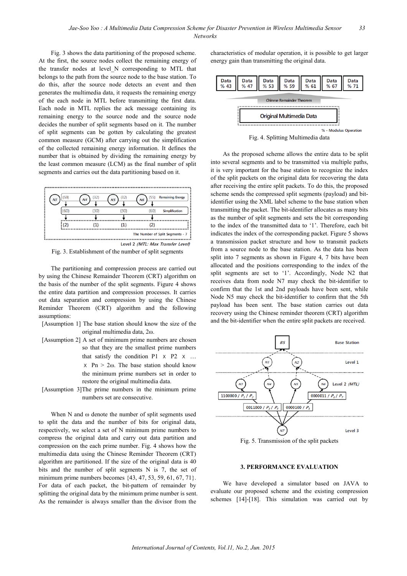Fig. 3 shows the data partitioning of the proposed scheme. At the first, the source nodes collect the remaining energy of the transfer nodes at level\_N corresponding to MTL that belongs to the path from the source node to the base station. To do this, after the source node detects an event and then generates the multimedia data, it requests the remaining energy of the each node in MTL before transmitting the first data. Each node in MTL replies the ack message containing its remaining energy to the source node and the source node decides the number of split segments based on it. The number of split segments can be gotten by calculating the greatest common measure (GCM) after carrying out the simplification of the collected remaining energy information. It defines the number that is obtained by dividing the remaining energy by the least common measure (LCM) as the final number of split segments and carries out the data partitioning based on it.



Fig. 3. Establishment of the number of split segments

The partitioning and compression process are carried out by using the Chinese Remainder Theorem (CRT) algorithm on the basis of the number of the split segments. Figure 4 shows the entire data partition and compression processes. It carries out data separation and compression by using the Chinese Reminder Theorem (CRT) algorithm and the following assumptions:

- [Assumption 1] The base station should know the size of the original multimedia data, 2ω.
- [Assumption 2] A set of minimum prime numbers are chosen so that they are the smallest prime numbers that satisfy the condition  $P1 \times P2 \times ...$  $x$  Pn  $> 2\omega$ . The base station should know the minimum prime numbers set in order to restore the original multimedia data.
- [Assumption 3]The prime numbers in the minimum prime numbers set are consecutive.

When N and ω denote the number of split segments used to split the data and the number of bits for original data, respectively, we select a set of N minimum prime numbers to compress the original data and carry out data partition and compression on the each prime number. Fig. 4 shows how the multimedia data using the Chinese Reminder Theorem (CRT) algorithm are partitioned. If the size of the original data is 40 bits and the number of split segments N is 7, the set of minimum prime numbers becomes  $\{43, 47, 53, 59, 61, 67, 71\}$ . For data of each packet, the bit-pattern of remainder by splitting the original data by the minimum prime number is sent. As the remainder is always smaller than the divisor from the

characteristics of modular operation, it is possible to get larger energy gain than transmitting the original data.



Fig. 4. Splitting Multimedia data

As the proposed scheme allows the entire data to be split into several segments and to be transmitted via multiple paths, it is very important for the base station to recognize the index of the split packets on the original data for recovering the data after receiving the entire split packets. To do this, the proposed scheme sends the compressed split segments (payload) and bitidentifier using the XML label scheme to the base station when transmitting the packet. The bit-identifier allocates as many bits as the number of split segments and sets the bit corresponding to the index of the transmitted data to '1'. Therefore, each bit indicates the index of the corresponding packet. Figure 5 shows a transmission packet structure and how to transmit packets from a source node to the base station. As the data has been split into 7 segments as shown in Figure 4, 7 bits have been allocated and the positions corresponding to the index of the split segments are set to '1'. Accordingly, Node N2 that receives data from node N7 may check the bit-identifier to confirm that the 1st and 2nd payloads have been sent, while Node N5 may check the bit-identifier to confirm that the 5th payload has been sent. The base station carries out data recovery using the Chinese reminder theorem (CRT) algorithm and the bit-identifier when the entire split packets are received.



Fig. 5. Transmission of the split packets

### **3. PERFORMANCE EVALUATION**

We have developed a simulator based on JAVA to evaluate our proposed scheme and the existing compression schemes [14]-[18]. This simulation was carried out by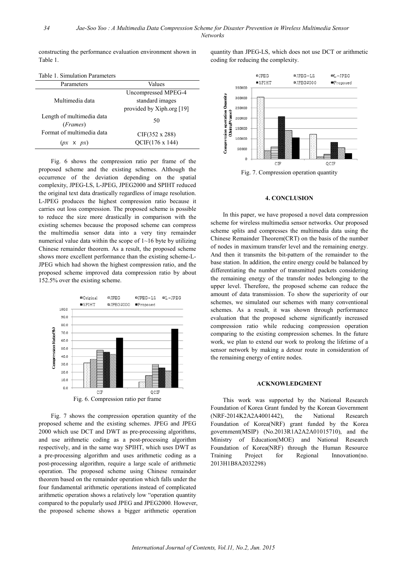constructing the performance evaluation environment shown in Table 1.

Table 1. Simulation Parameters

| 10010 1. OMNORODI 1 01011101019 |                           |  |
|---------------------------------|---------------------------|--|
| Parameters                      | Values                    |  |
|                                 | Uncompressed MPEG-4       |  |
| Multimedia data                 | standard images           |  |
|                                 | provided by Xiph.org [19] |  |
| Length of multimedia data       | 50                        |  |
| ( <i>Frames</i> )               |                           |  |
| Format of multimedia data       | $CIF(352 \times 288)$     |  |
| $(px \times px)$                | OCIF(176 x 144)           |  |
|                                 |                           |  |

Fig. 6 shows the compression ratio per frame of the proposed scheme and the existing schemes. Although the occurrence of the deviation depending on the spatial complexity, JPEG-LS, L-JPEG, JPEG2000 and SPIHT reduced the original text data drastically regardless of image resolution. L-JPEG produces the highest compression ratio because it carries out loss compression. The proposed scheme is possible to reduce the size more drastically in comparison with the existing schemes because the proposed scheme can compress the multimedia sensor data into a very tiny remainder numerical value data within the scope of 1~16 byte by utilizing Chinese remainder theorem. As a result, the proposed scheme shows more excellent performance than the existing scheme-L-JPEG which had shown the highest compression ratio, and the proposed scheme improved data compression ratio by about 152.5% over the existing scheme.



Fig. 7 shows the compression operation quantity of the proposed scheme and the existing schemes. JPEG and JPEG 2000 which use DCT and DWT as pre-processing algorithms, and use arithmetic coding as a post-processing algorithm respectively, and in the same way SPIHT, which uses DWT as a pre-processing algorithm and uses arithmetic coding as a post-processing algorithm, require a large scale of arithmetic operation. The proposed scheme using Chinese remainder theorem based on the remainder operation which falls under the four fundamental arithmetic operations instead of complicated arithmetic operation shows a relatively low "operation quantity compared to the popularly used JPEG and JPEG2000. However, the proposed scheme shows a bigger arithmetic operation

quantity than JPEG-LS, which does not use DCT or arithmetic coding for reducing the complexity.



Fig. 7. Compression operation quantity

### **4. CONCLUSION**

In this paper, we have proposed a novel data compression scheme for wireless multimedia sensor networks. Our proposed scheme splits and compresses the multimedia data using the Chinese Remainder Theorem(CRT) on the basis of the number of nodes in maximum transfer level and the remaining energy. And then it transmits the bit-pattern of the remainder to the base station. In addition, the entire energy could be balanced by differentiating the number of transmitted packets considering the remaining energy of the transfer nodes belonging to the upper level. Therefore, the proposed scheme can reduce the amount of data transmission. To show the superiority of our schemes, we simulated our schemes with many conventional schemes. As a result, it was shown through performance evaluation that the proposed scheme significantly increased compression ratio while reducing compression operation comparing to the existing compression schemes. In the future work, we plan to extend our work to prolong the lifetime of a sensor network by making a detour route in consideration of the remaining energy of entire nodes.

#### **ACKNOWLEDGMENT**

This work was supported by the National Research Foundation of Korea Grant funded by the Korean Government (NRF-2014K2A2A4001442), the National Research Foundation of Korea(NRF) grant funded by the Korea government(MSIP) (No.2013R1A2A2A01015710), and the Ministry of Education(MOE) and National Research Foundation of Korea(NRF) through the Human Resource Training Project for Regional Innovation(no. 2013H1B8A2032298)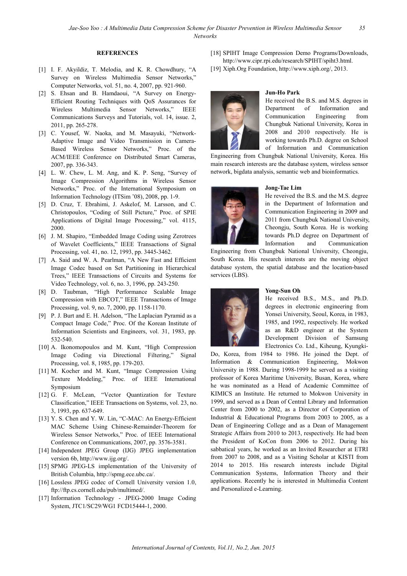#### **REFERENCES**

- [1] I. F. Akyildiz, T. Melodia, and K. R. Chowdhury, "A Survey on Wireless Multimedia Sensor Networks," Computer Networks, vol. 51, no. 4, 2007, pp. 921-960.
- [2] S. Ehsan and B. Hamdaoui, "A Survey on Energy-Efficient Routing Techniques with QoS Assurances for Wireless Multimedia Sensor Networks," IEEE Communications Surveys and Tutorials, vol. 14, issue. 2, 2011, pp. 265-278.
- [3] C. Yousef, W. Naoka, and M. Masayuki, "Network-Adaptive Image and Video Transmission in Camera-Based Wireless Sensor Networks," Proc. of the ACM/IEEE Conference on Distributed Smart Cameras, 2007, pp. 336-343.
- [4] L. W. Chew, L. M. Ang, and K. P. Seng, "Survey of Image Compression Algorithms in Wireless Sensor Networks," Proc. of the International Symposium on Information Technology (ITSim '08), 2008, pp. 1-9.
- [5] D. Cruz, T. Ebrahimi, J. Askelof, M. Larsson, and C. Christopoulos, "Coding of Still Picture," Proc. of SPIE Applications of Digital Image Processing," vol. 4115, 2000.
- [6] J. M. Shapiro, "Embedded Image Coding using Zerotrees of Wavelet Coefficients," IEEE Transactions of Signal Processing, vol. 41, no. 12, 1993, pp. 3445-3462.
- [7] A. Said and W. A. Pearlman, "A New Fast and Efficient Image Codec based on Set Partitioning in Hierarchical Trees," IEEE Transactions of Circuits and Systems for Video Technology, vol. 6, no. 3, 1996, pp. 243-250.
- [8] D. Taubman, "High Performance Scalable Image Compression with EBCOT," IEEE Transactions of Image Processing, vol. 9, no. 7, 2000, pp. 1158-1170.
- [9] P. J. Burt and E. H. Adelson, "The Laplacian Pyramid as a Compact Image Code," Proc. Of the Korean Institute of Information Scientists and Engineers, vol. 31, 1983, pp. 532-540.
- [10] A. Ikonomopoulos and M. Kunt, "High Compression Image Coding via Directional Filtering," Signal Processing, vol. 8, 1985, pp. 179-203.
- [11] M. Kocher and M. Kunt, "Image Compression Using Texture Modeling," Proc. of IEEE International Symposium
- [12] G. F. McLean, "Vector Quantization for Texture Classification," IEEE Transactions on Systems, vol. 23, no. 3, 1993, pp. 637-649.
- [13] Y. S. Chen and Y. W. Lin, "C-MAC: An Energy-Efficient MAC Scheme Using Chinese-Remainder-Theorem for Wireless Sensor Networks," Proc. of IEEE International Conference on Communications, 2007, pp. 3576-3581.
- [14] Independent JPEG Group (IJG) JPEG implementation version 6b, http://www.ijg.org/.
- [15] SPMG JPEG-LS implementation of the University of British Columbia, http://spmg.ece.ubc.ca/.
- [16] Lossless JPEG codec of Cornell University version 1.0, ftp://ftp.cs.cornell.edu/pub/multimed/.
- [17] Information Technology JPEG-2000 Image Coding System, JTC1/SC29/WG1 FCD15444-1, 2000.
- [18] SPIHT Image Compression Demo Programs/Downloads, http://www.cipr.rpi.edu/research/SPIHT/spiht3.html.
- [19] Xiph.Org Foundation, http://www.xiph.org/, 2013.



# **Jun-Ho Park**

He received the B.S. and M.S. degrees in Department of Information and Communication Engineering from Chungbuk National University, Korea in 2008 and 2010 respectively. He is working towards Ph.D. degree on School of Information and Communication

Engineering from Chungbuk National University, Korea. His main research interests are the database system, wireless sensor network, bigdata analysis, semantic web and bioinformatics.



### **Jong-Tae Lim**

He reveived the B.S. and the M.S. degree in the Department of Information and Communication Engineering in 2009 and 2011 from Chungbuk National University, Cheongju, South Korea. He is working towards Ph.D degree on Department of Information and Communication

Engineering from Chungbuk National University, Cheongju, South Korea. His research interests are the moving object database system, the spatial database and the location-based services (LBS).



### **Yong-Sun Oh**

He received B.S., M.S., and Ph.D. degrees in electronic engineering from Yonsei University, Seoul, Korea, in 1983, 1985, and 1992, respectively. He worked as an R&D engineer at the System Development Division of Samsung Electronics Co. Ltd., Kiheung, Kyungki-

Do, Korea, from 1984 to 1986. He joined the Dept. of Information & Communication Engineering, Mokwon University in 1988. During 1998-1999 he served as a visiting professor of Korea Maritime University, Busan, Korea, where he was nominated as a Head of Academic Committee of KIMICS an Institute. He returned to Mokwon University in 1999, and served as a Dean of Central Library and Information Center from 2000 to 2002, as a Director of Corporation of Industrial & Educational Programs from 2003 to 2005, as a Dean of Engineering College and as a Dean of Management Strategic Affairs from 2010 to 2013, respectively. He had been the President of KoCon from 2006 to 2012. During his sabbatical years, he worked as an Invited Researcher at ETRI from 2007 to 2008, and as a Visiting Scholar at KISTI from 2014 to 2015. His research interests include Digital Communication Systems, Information Theory and their applications. Recently he is interested in Multimedia Content and Personalized e-Learning.